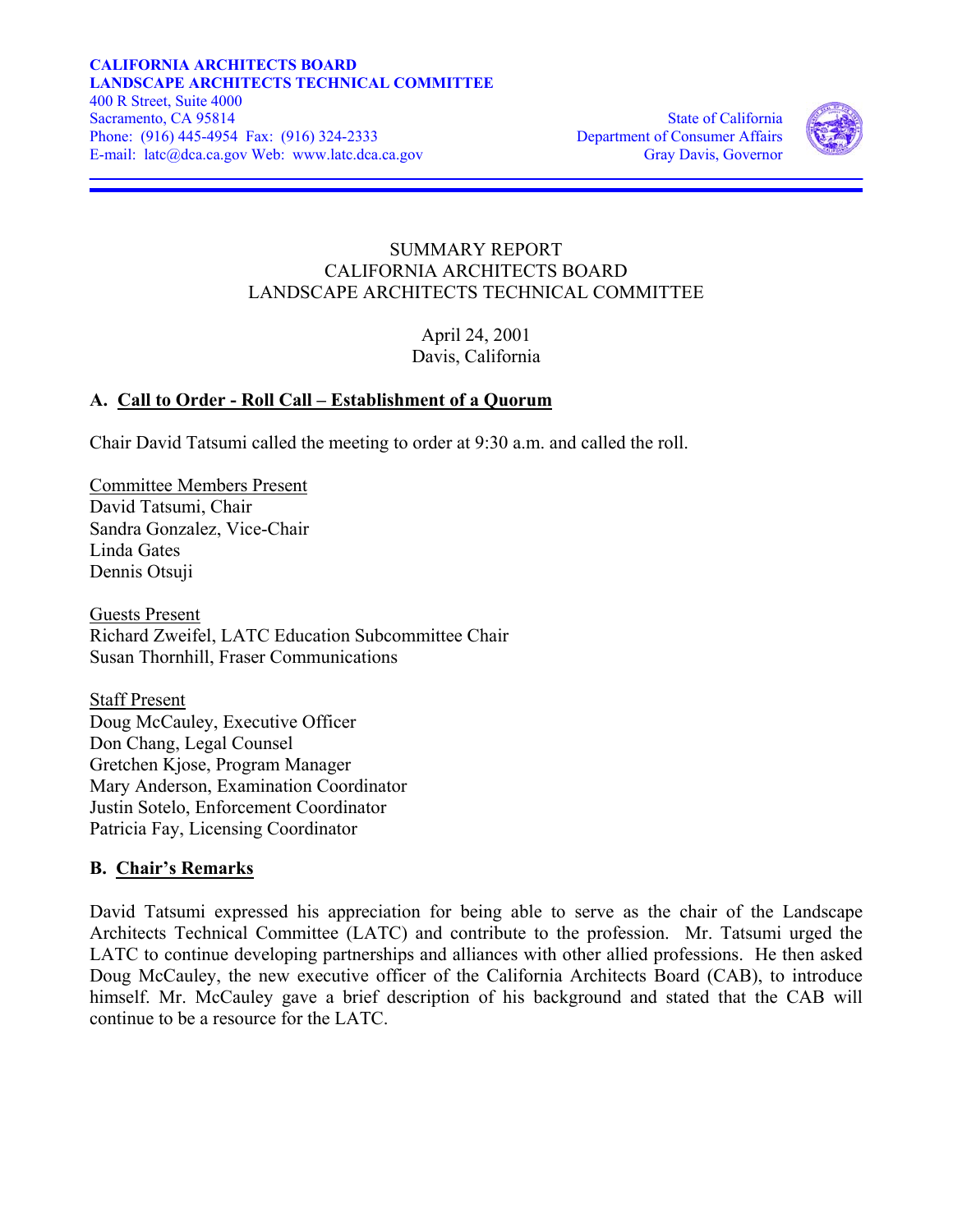

#### SUMMARY REPORT CALIFORNIA ARCHITECTS BOARD LANDSCAPE ARCHITECTS TECHNICAL COMMITTEE

April 24, 2001 Davis, California

## **A. Call to Order - Roll Call – Establishment of a Quorum**

Chair David Tatsumi called the meeting to order at 9:30 a.m. and called the roll.

Committee Members Present David Tatsumi, Chair Sandra Gonzalez, Vice-Chair Linda Gates Dennis Otsuji

Guests Present Richard Zweifel, LATC Education Subcommittee Chair Susan Thornhill, Fraser Communications

Staff Present Doug McCauley, Executive Officer Don Chang, Legal Counsel Gretchen Kjose, Program Manager Mary Anderson, Examination Coordinator Justin Sotelo, Enforcement Coordinator Patricia Fay, Licensing Coordinator

## **B. Chair's Remarks**

David Tatsumi expressed his appreciation for being able to serve as the chair of the Landscape Architects Technical Committee (LATC) and contribute to the profession. Mr. Tatsumi urged the LATC to continue developing partnerships and alliances with other allied professions. He then asked Doug McCauley, the new executive officer of the California Architects Board (CAB), to introduce himself. Mr. McCauley gave a brief description of his background and stated that the CAB will continue to be a resource for the LATC.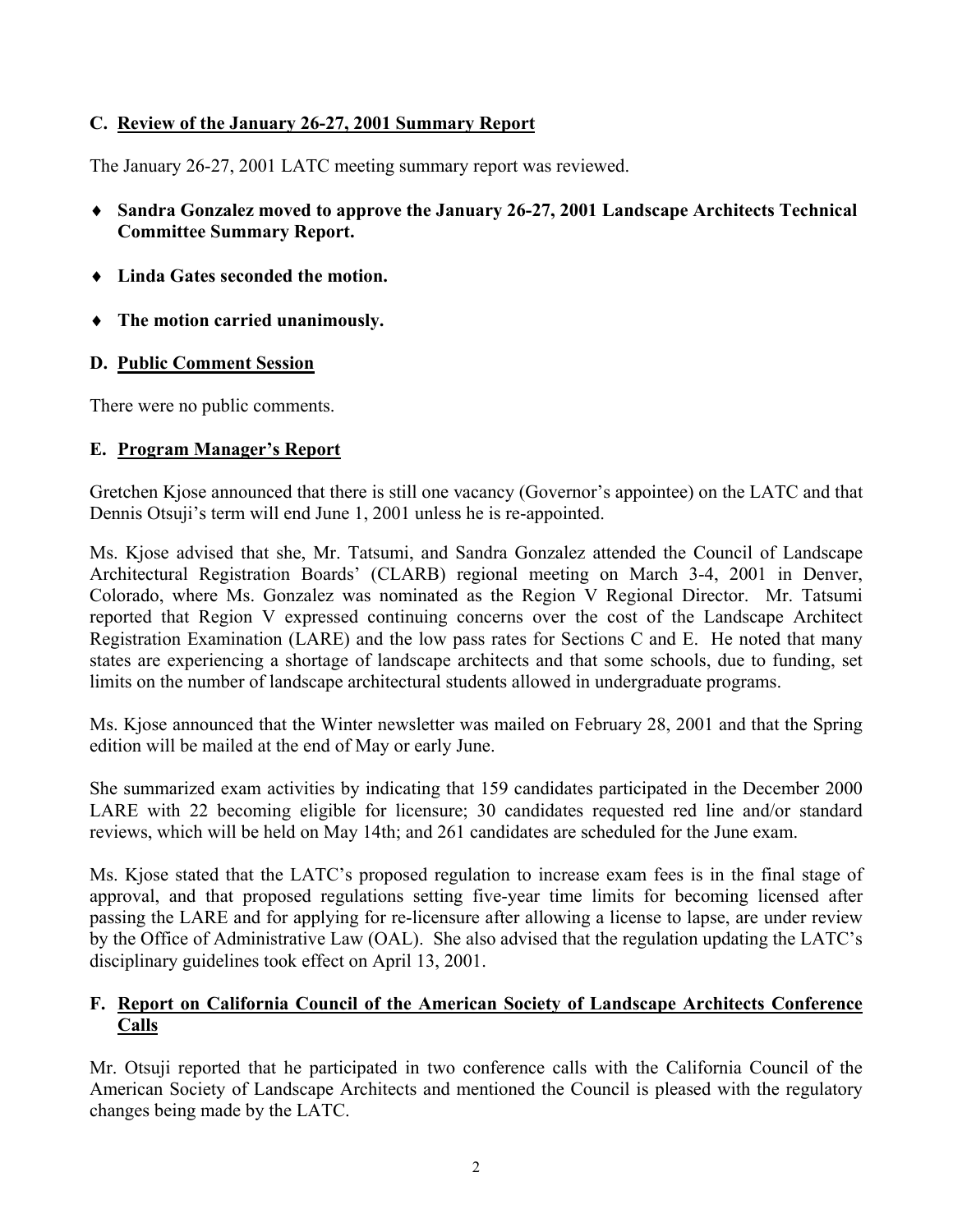## **C. Review of the January 26-27, 2001 Summary Report**

The January 26-27, 2001 LATC meeting summary report was reviewed.

- ♦ **Sandra Gonzalez moved to approve the January 26-27, 2001 Landscape Architects Technical Committee Summary Report.**
- ♦ **Linda Gates seconded the motion.**
- ♦ **The motion carried unanimously.**

## **D. Public Comment Session**

There were no public comments.

## **E. Program Manager's Report**

Gretchen Kjose announced that there is still one vacancy (Governor's appointee) on the LATC and that Dennis Otsuji's term will end June 1, 2001 unless he is re-appointed.

Ms. Kjose advised that she, Mr. Tatsumi, and Sandra Gonzalez attended the Council of Landscape Architectural Registration Boards' (CLARB) regional meeting on March 3-4, 2001 in Denver, Colorado, where Ms. Gonzalez was nominated as the Region V Regional Director. Mr. Tatsumi reported that Region V expressed continuing concerns over the cost of the Landscape Architect Registration Examination (LARE) and the low pass rates for Sections C and E. He noted that many states are experiencing a shortage of landscape architects and that some schools, due to funding, set limits on the number of landscape architectural students allowed in undergraduate programs.

Ms. Kjose announced that the Winter newsletter was mailed on February 28, 2001 and that the Spring edition will be mailed at the end of May or early June.

She summarized exam activities by indicating that 159 candidates participated in the December 2000 LARE with 22 becoming eligible for licensure; 30 candidates requested red line and/or standard reviews, which will be held on May 14th; and 261 candidates are scheduled for the June exam.

Ms. Kjose stated that the LATC's proposed regulation to increase exam fees is in the final stage of approval, and that proposed regulations setting five-year time limits for becoming licensed after passing the LARE and for applying for re-licensure after allowing a license to lapse, are under review by the Office of Administrative Law (OAL). She also advised that the regulation updating the LATC's disciplinary guidelines took effect on April 13, 2001.

## **F. Report on California Council of the American Society of Landscape Architects Conference Calls**

Mr. Otsuji reported that he participated in two conference calls with the California Council of the American Society of Landscape Architects and mentioned the Council is pleased with the regulatory changes being made by the LATC.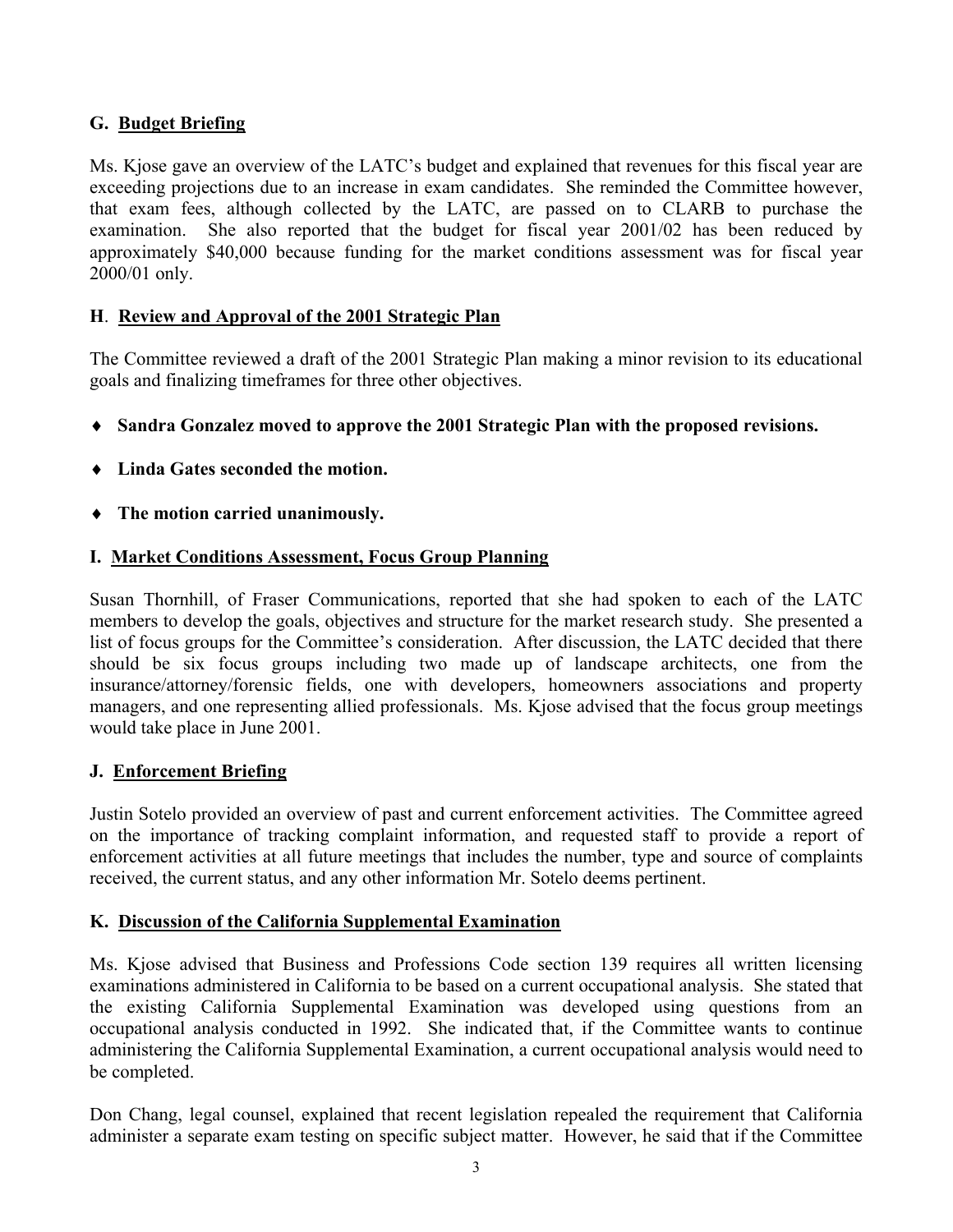## **G. Budget Briefing**

Ms. Kjose gave an overview of the LATC's budget and explained that revenues for this fiscal year are exceeding projections due to an increase in exam candidates. She reminded the Committee however, that exam fees, although collected by the LATC, are passed on to CLARB to purchase the examination. She also reported that the budget for fiscal year 2001/02 has been reduced by approximately \$40,000 because funding for the market conditions assessment was for fiscal year 2000/01 only.

## **H**. **Review and Approval of the 2001 Strategic Plan**

The Committee reviewed a draft of the 2001 Strategic Plan making a minor revision to its educational goals and finalizing timeframes for three other objectives.

- ♦ **Sandra Gonzalez moved to approve the 2001 Strategic Plan with the proposed revisions.**
- ♦ **Linda Gates seconded the motion.**
- ♦ **The motion carried unanimously.**

## **I. Market Conditions Assessment, Focus Group Planning**

Susan Thornhill, of Fraser Communications, reported that she had spoken to each of the LATC members to develop the goals, objectives and structure for the market research study. She presented a list of focus groups for the Committee's consideration. After discussion, the LATC decided that there should be six focus groups including two made up of landscape architects, one from the insurance/attorney/forensic fields, one with developers, homeowners associations and property managers, and one representing allied professionals. Ms. Kjose advised that the focus group meetings would take place in June 2001.

## **J. Enforcement Briefing**

Justin Sotelo provided an overview of past and current enforcement activities. The Committee agreed on the importance of tracking complaint information, and requested staff to provide a report of enforcement activities at all future meetings that includes the number, type and source of complaints received, the current status, and any other information Mr. Sotelo deems pertinent.

## **K. Discussion of the California Supplemental Examination**

Ms. Kjose advised that Business and Professions Code section 139 requires all written licensing examinations administered in California to be based on a current occupational analysis. She stated that the existing California Supplemental Examination was developed using questions from an occupational analysis conducted in 1992. She indicated that, if the Committee wants to continue administering the California Supplemental Examination, a current occupational analysis would need to be completed.

Don Chang, legal counsel, explained that recent legislation repealed the requirement that California administer a separate exam testing on specific subject matter. However, he said that if the Committee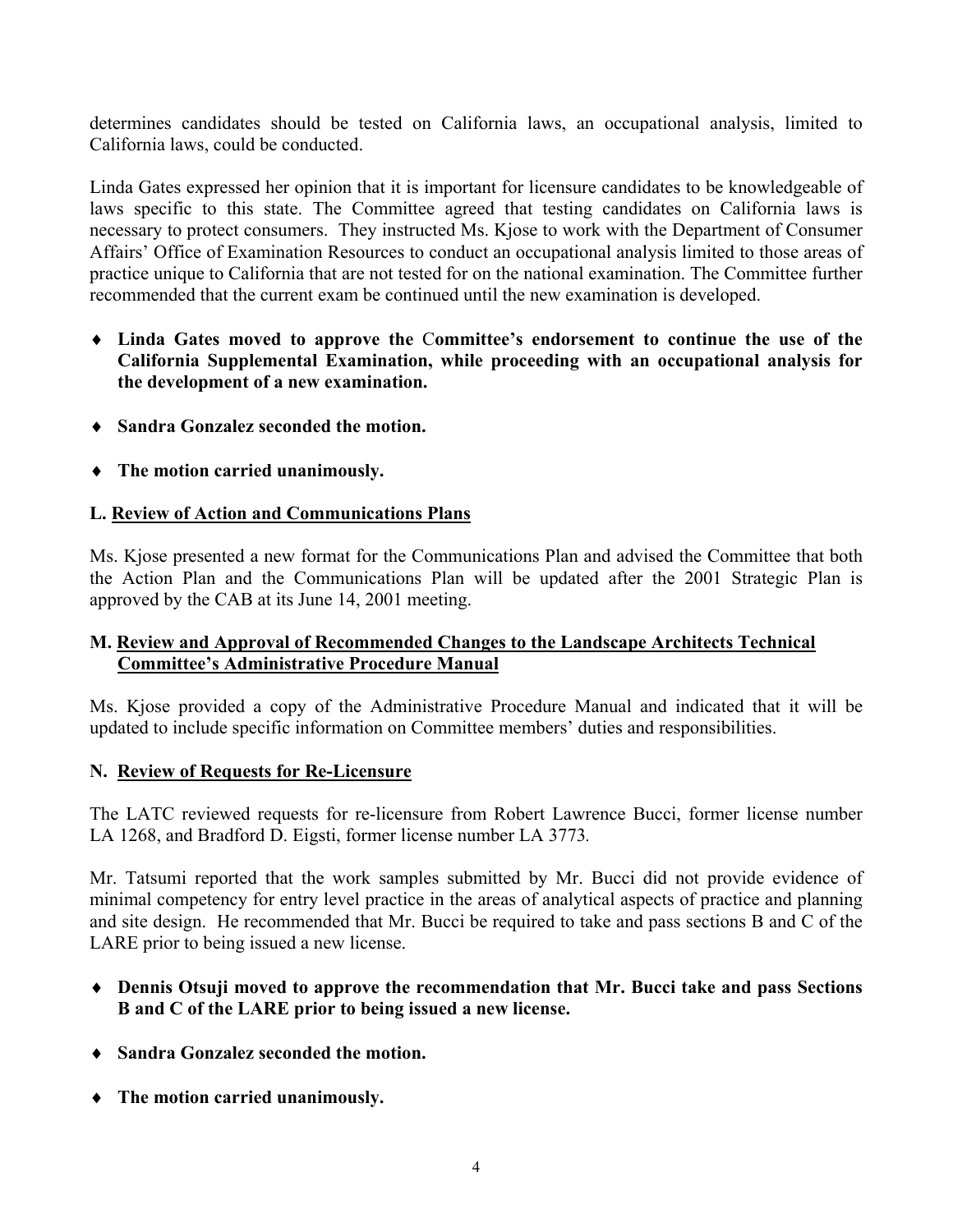determines candidates should be tested on California laws, an occupational analysis, limited to California laws, could be conducted.

Linda Gates expressed her opinion that it is important for licensure candidates to be knowledgeable of laws specific to this state. The Committee agreed that testing candidates on California laws is necessary to protect consumers. They instructed Ms. Kjose to work with the Department of Consumer Affairs' Office of Examination Resources to conduct an occupational analysis limited to those areas of practice unique to California that are not tested for on the national examination. The Committee further recommended that the current exam be continued until the new examination is developed.

- ♦ **Linda Gates moved to approve the** C**ommittee's endorsement to continue the use of the California Supplemental Examination, while proceeding with an occupational analysis for the development of a new examination.**
- ♦ **Sandra Gonzalez seconded the motion.**
- ♦ **The motion carried unanimously.**

## **L. Review of Action and Communications Plans**

Ms. Kjose presented a new format for the Communications Plan and advised the Committee that both the Action Plan and the Communications Plan will be updated after the 2001 Strategic Plan is approved by the CAB at its June 14, 2001 meeting.

#### **M. Review and Approval of Recommended Changes to the Landscape Architects Technical Committee's Administrative Procedure Manual**

Ms. Kjose provided a copy of the Administrative Procedure Manual and indicated that it will be updated to include specific information on Committee members' duties and responsibilities.

## **N. Review of Requests for Re-Licensure**

The LATC reviewed requests for re-licensure from Robert Lawrence Bucci, former license number LA 1268, and Bradford D. Eigsti, former license number LA 3773*.* 

Mr. Tatsumi reported that the work samples submitted by Mr. Bucci did not provide evidence of minimal competency for entry level practice in the areas of analytical aspects of practice and planning and site design. He recommended that Mr. Bucci be required to take and pass sections B and C of the LARE prior to being issued a new license.

- ♦ **Dennis Otsuji moved to approve the recommendation that Mr. Bucci take and pass Sections B and C of the LARE prior to being issued a new license.**
- ♦ **Sandra Gonzalez seconded the motion.**
- ♦ **The motion carried unanimously.**